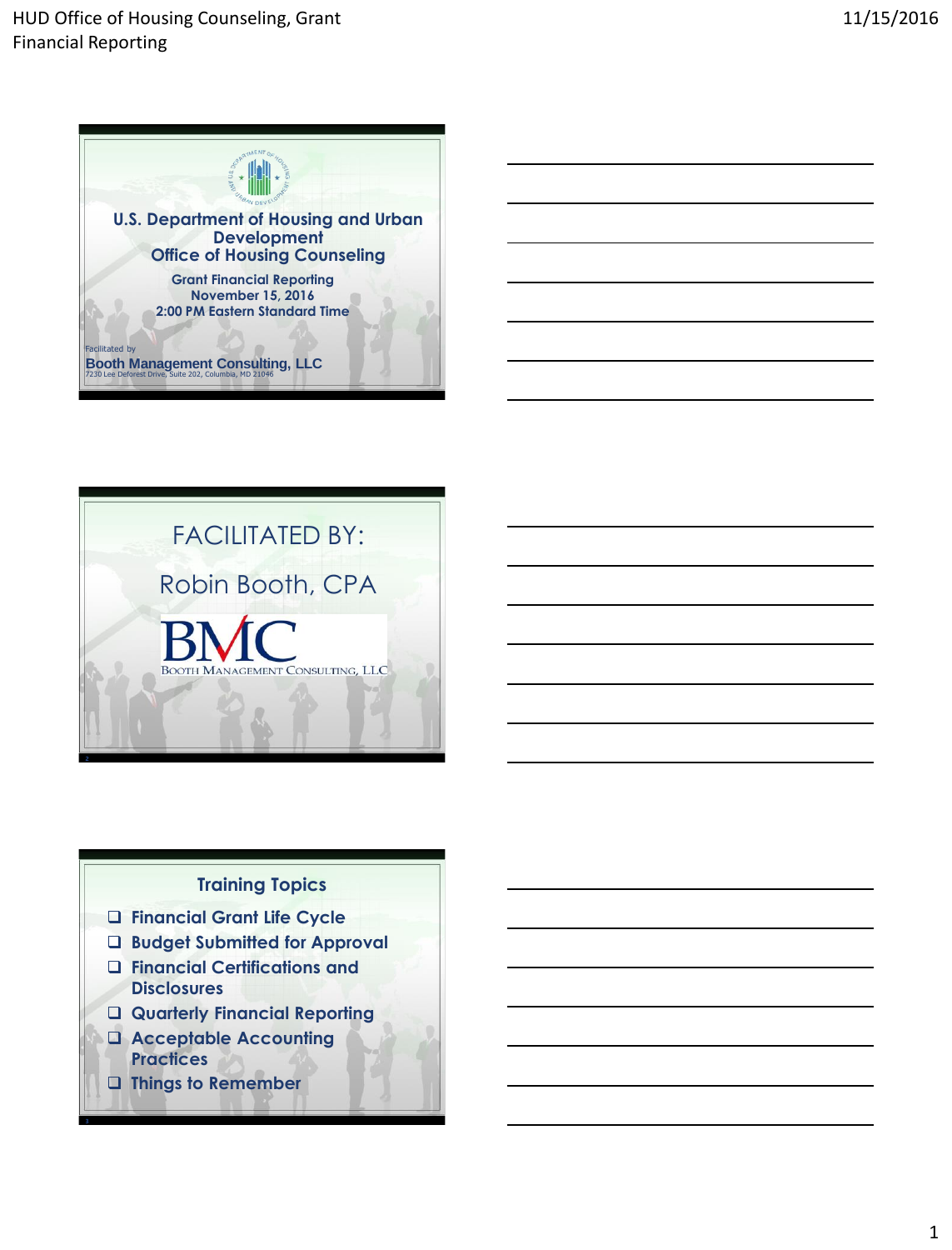



# **Training Topics**

- **Financial Grant Life Cycle**
- **Budget Submitted for Approval**
- **Financial Certifications and Disclosures**
- **Quarterly Financial Reporting**
- **Acceptable Accounting Practices**
- **Things to Remember**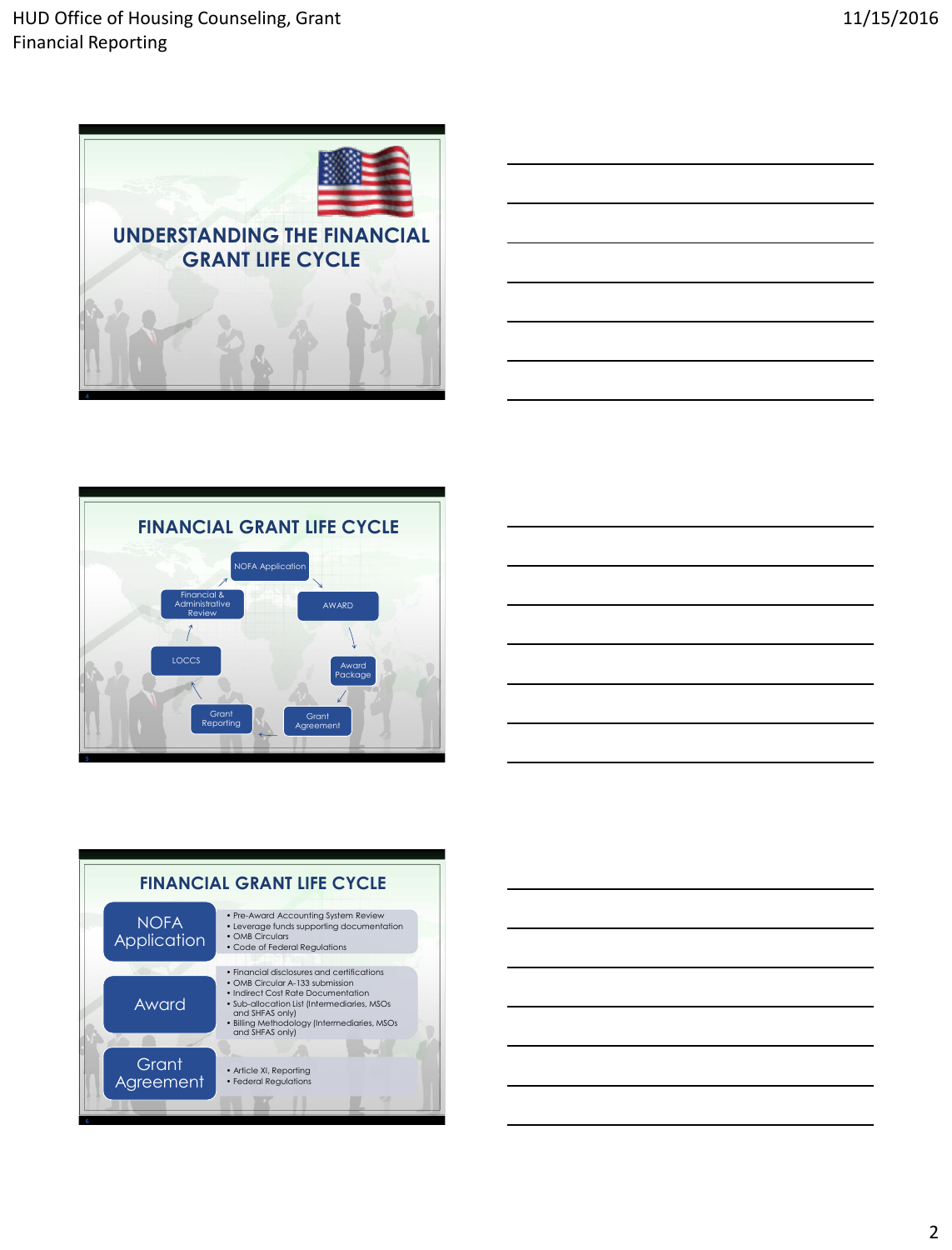









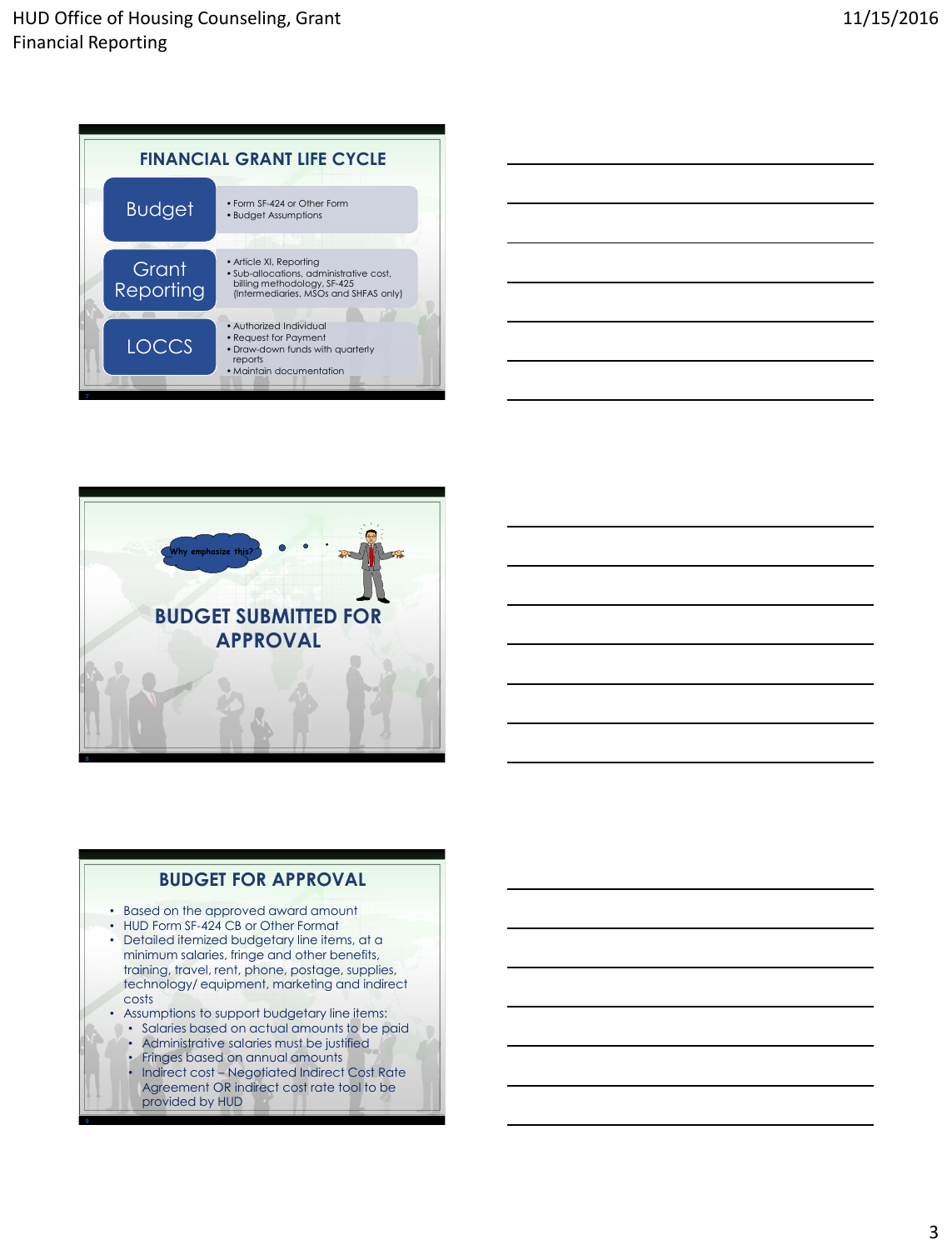







**BUDGET FOR APPROVAL**

- costs
- Assumptions to support budgetary line items:
	- Salaries based on actual amounts to be paid • Administrative salaries must be justified
	- Fringes based on annual amounts
	- Indirect cost Negotiated Indirect Cost Rate Agreement OR indirect cost rate tool to be provided by HUD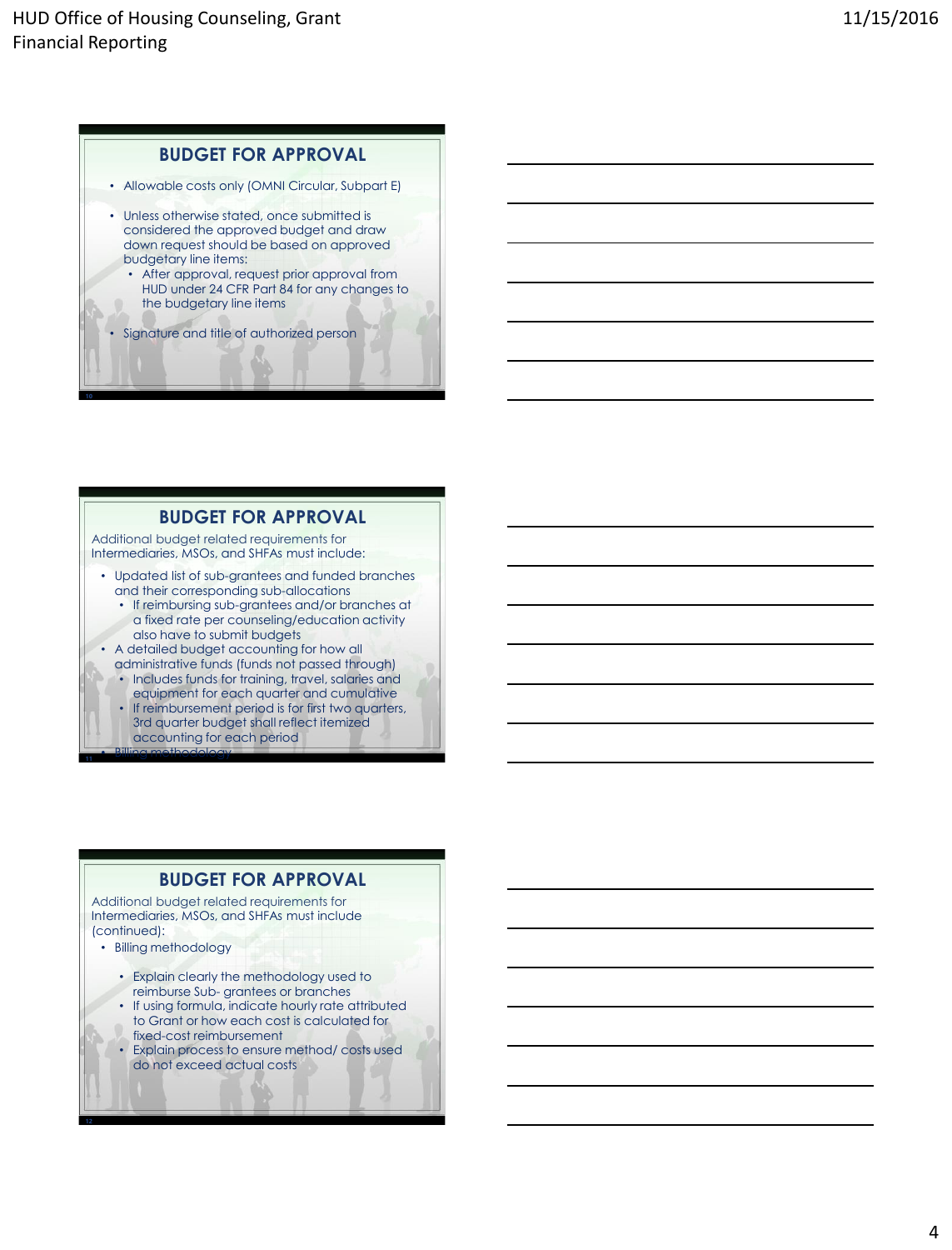## **BUDGET FOR APPROVAL**

- Allowable costs only (OMNI Circular, Subpart E)
- Unless otherwise stated, once submitted is considered the approved budget and draw down request should be based on approved budgetary line items:
	- After approval, request prior approval from HUD under 24 CFR Part 84 for any changes to the budgetary line items
	- Signature and title of authorized person

## **BUDGET FOR APPROVAL**

Additional budget related requirements for Intermediaries, MSOs, and SHFAs must include:

- Updated list of sub-grantees and funded branches and their corresponding sub-allocations
	- If reimbursing sub-grantees and/or branches at a fixed rate per counseling/education activity also have to submit budgets
- A detailed budget accounting for how all administrative funds (funds not passed through)
	- Includes funds for training, travel, salaries and equipment for each quarter and cumulative
	- If reimbursement period is for first two quarters, 3rd quarter budget shall reflect itemized accounting for each period

## **BUDGET FOR APPROVAL**

Additional budget related requirements for Intermediaries, MSOs, and SHFAs must include (continued):

• Billing methodology

• Billing methodology

- Explain clearly the methodology used to reimburse Sub- grantees or branches
- If using formula, indicate hourly rate attributed to Grant or how each cost is calculated for fixed-cost reimbursement
- Explain process to ensure method/ costs used do not exceed actual costs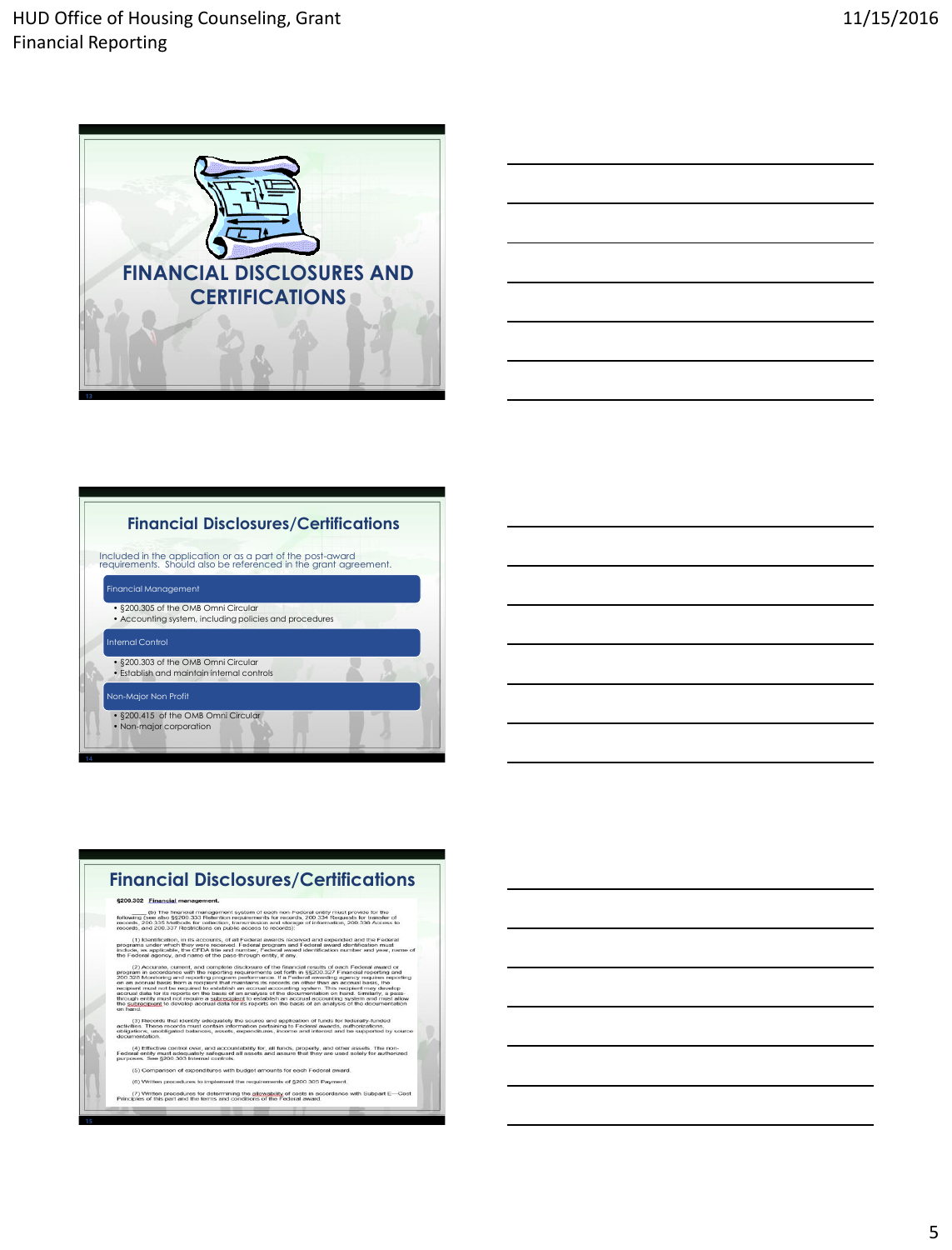



# **Financial Disclosures/Certifications**

Included in the application or as a part of the post-award requirements. Should also be referenced in the grant agreement.

Financial Management • §200.305 of the OMB Omni Circular • Accounting system, including policies and procedures • §200.303 of the OMB Omni Circular • Establish and maintain internal controls Non-Major Non Profit • §200.415 of the OMB Omni Circular • Non-major corporation

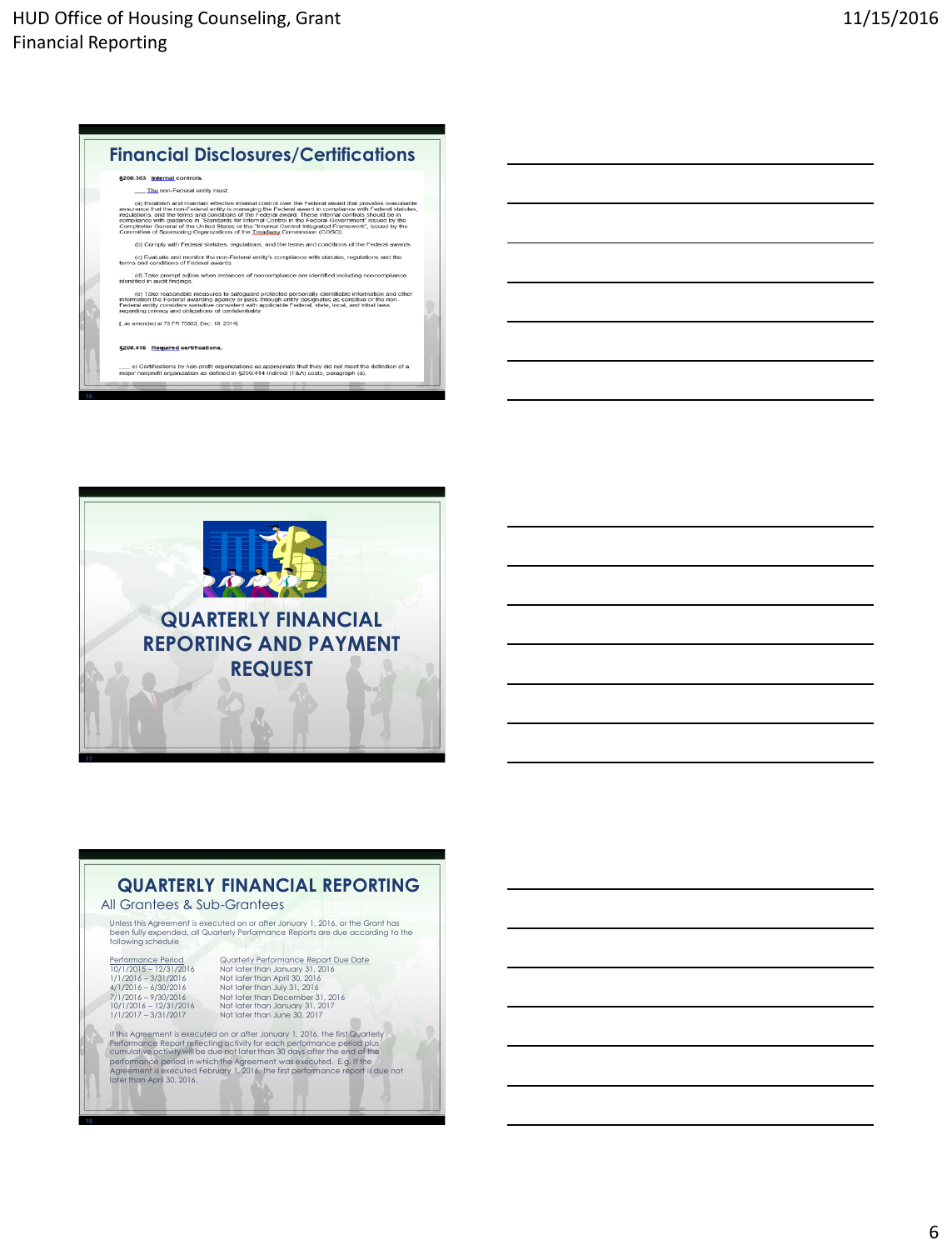



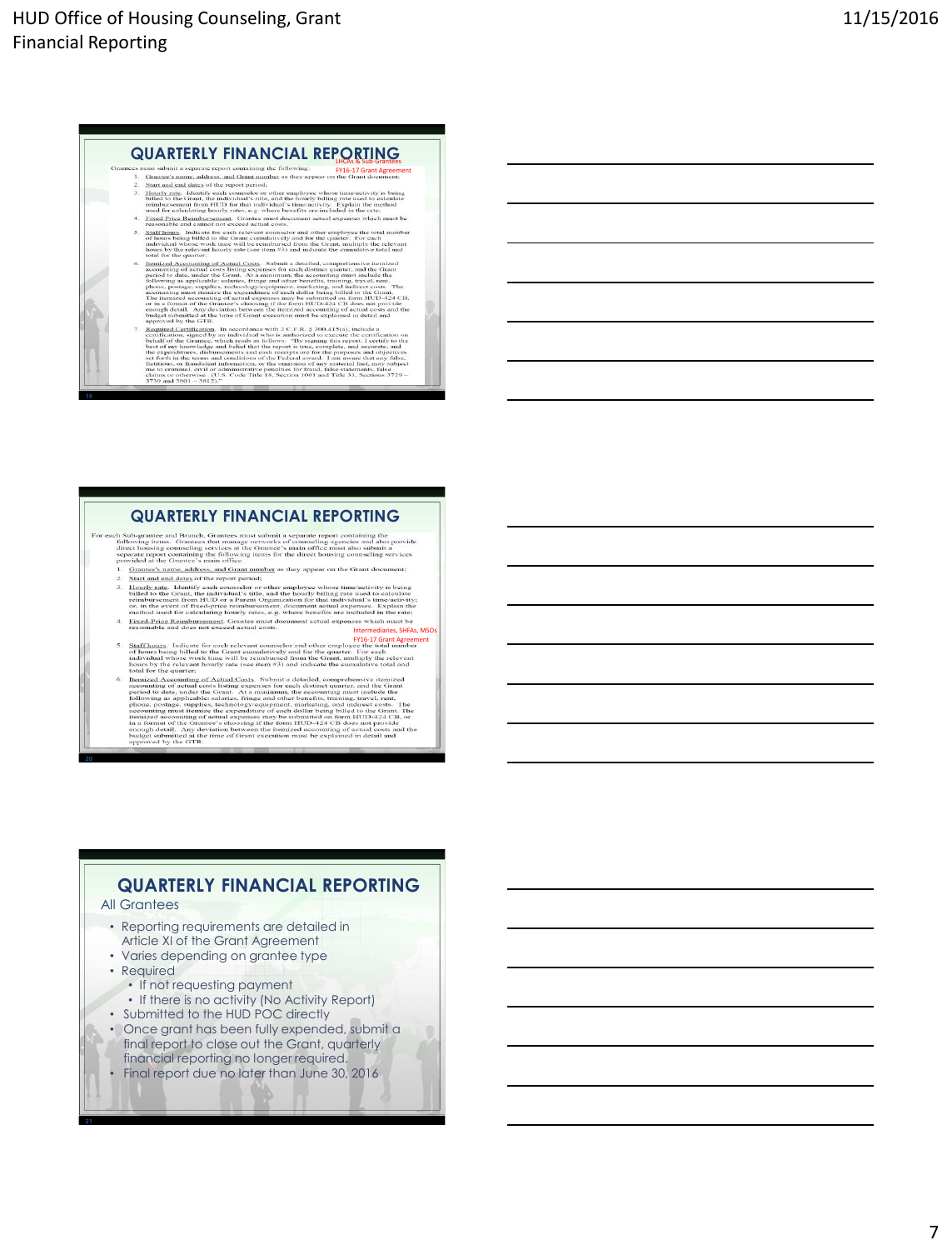#### **QUARTERLY FINANCIAL REPORTING** LHCAs & Sub-Grantees FY16-17 Grant Agreement

- 
- 
- **Francount and cannot not excess actual costs.**<br> **Staffhaung**. Indicate for each relevant counselor and other employee the total number of house being billed to the Grant counselor and other the quarter. For each minimide  $\overline{\mathbf{5}}$ .
- individual whose work time will be rembarised from the Grant, multiply the relevant formula for the spatial contains of the spatial Constant of the spatial of the spatial constant of the spatial constant of the spatial co
- budget submitted at the time of Grant execution must be explained in detail and<br>happroved by the GTR.<br>
Expained, the difference with 2 CF, R<sub>-1</sub> § 200.415(a), included a simple<br>(Septimber) in a convolute of the contract c

- **QUARTERLY FINANCIAL REPORTING**<br>th Sub-grantee and Branch. Grantees must submit a separate report containing the<br>following items. Grantees that manage networks of counseling agencies and absorption<br>direct housing counselin Grantee's name, address, and Grant number as they appear on the Grant document;
	-
	-
	- Intermediaries, SHFAs, MSOs FY16-17 Grant Agreement
	-
	- hous by the relevant hourly rate (see item  $\#3$ ) and indicate the cumulative total and Itemized Ascounting of Actual Costs. Substituted and increase itemized in a second in the committed as a second interaction of  $\pi$  a

## **QUARTERLY FINANCIAL REPORTING**

### All Grantees

- Reporting requirements are detailed in
- Article XI of the Grant Agreement
- Varies depending on grantee type
- Required
- If not requesting payment
- If there is no activity (No Activity Report)
- Submitted to the HUD POC directly
- Once grant has been fully expended, submit a final report to close out the Grant, quarterly financial reporting no longer required.
- Final report due no later than June 30, 2016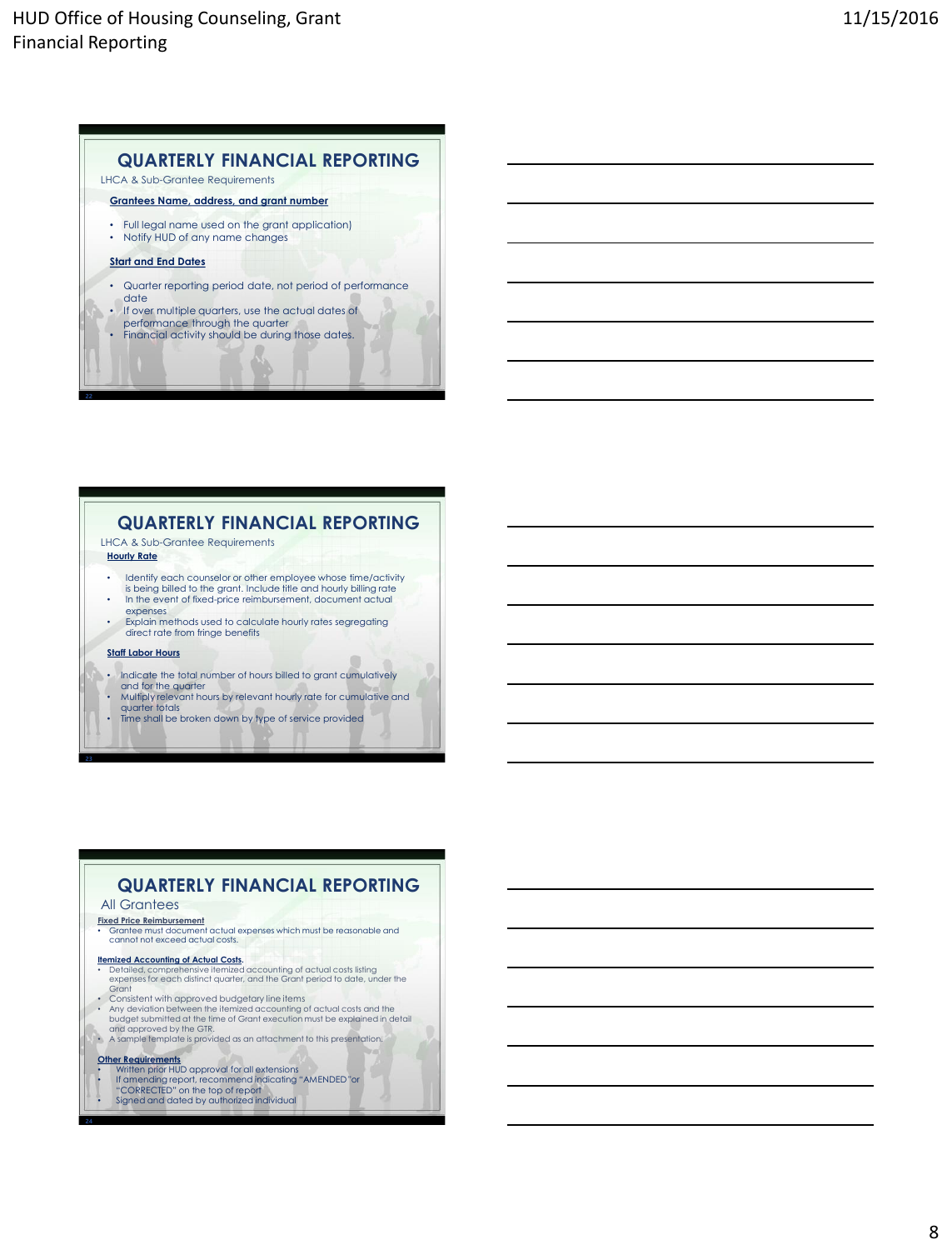## **QUARTERLY FINANCIAL REPORTING**

LHCA & Sub-Grantee Requirements

**Grantees Name, address, and grant number**

• Full legal name used on the grant application) • Notify HUD of any name changes

#### **Start and End Dates**

- Quarter reporting period date, not period of performance
- date • If over multiple quarters, use the actual dates of
- performance through the quarter
- Financial activity should be during those dates.

## **QUARTERLY FINANCIAL REPORTING**

LHCA & Sub-Grantee Requirements

- **Hourly Rate**
- Identify each counselor or other employee whose time/activity is being billed to the grant. Include title and hourly billing rate • In the event of fixed-price reimbursement, document actual
- expenses • Explain methods used to calculate hourly rates segregating direct rate from fringe benefits

#### **Staff Labor Hours**

- Indicate the total number of hours billed to grant cumulatively and for the quarter
- Multiply relevant hours by relevant hourly rate for cumulative and
- quarter totals • Time shall be broken down by type of service provided

#### **Fixed Price Reimbursement** • Grantee must document actual expenses which must be reasonable and cannot not exceed actual costs. **QUARTERLY FINANCIAL REPORTING** All Grantees

- 
- **Itemized Accounting of Actual Costs.**<br>• Detailed, comprehensive itemized accounting of actual costs listing<br>expenses for each distinct quarter, and the Grant period to date, under the **Grant**
- Consistent with approved budgetary line items Any deviation between the itemized accounting of actual costs and the budget submitted at the time of Grant execution must be explained in detail and approved by the GTR.
- A sample template is provided as an attachment to this presentation.
- 
- **Other Requirements**<br>• Written prior HUD approval for all extensions<br>• If amending report, recommend indicating "AMENDED "or<br>• CORRECTED" on the top of report<br>• Signed and dated by authorized individual
-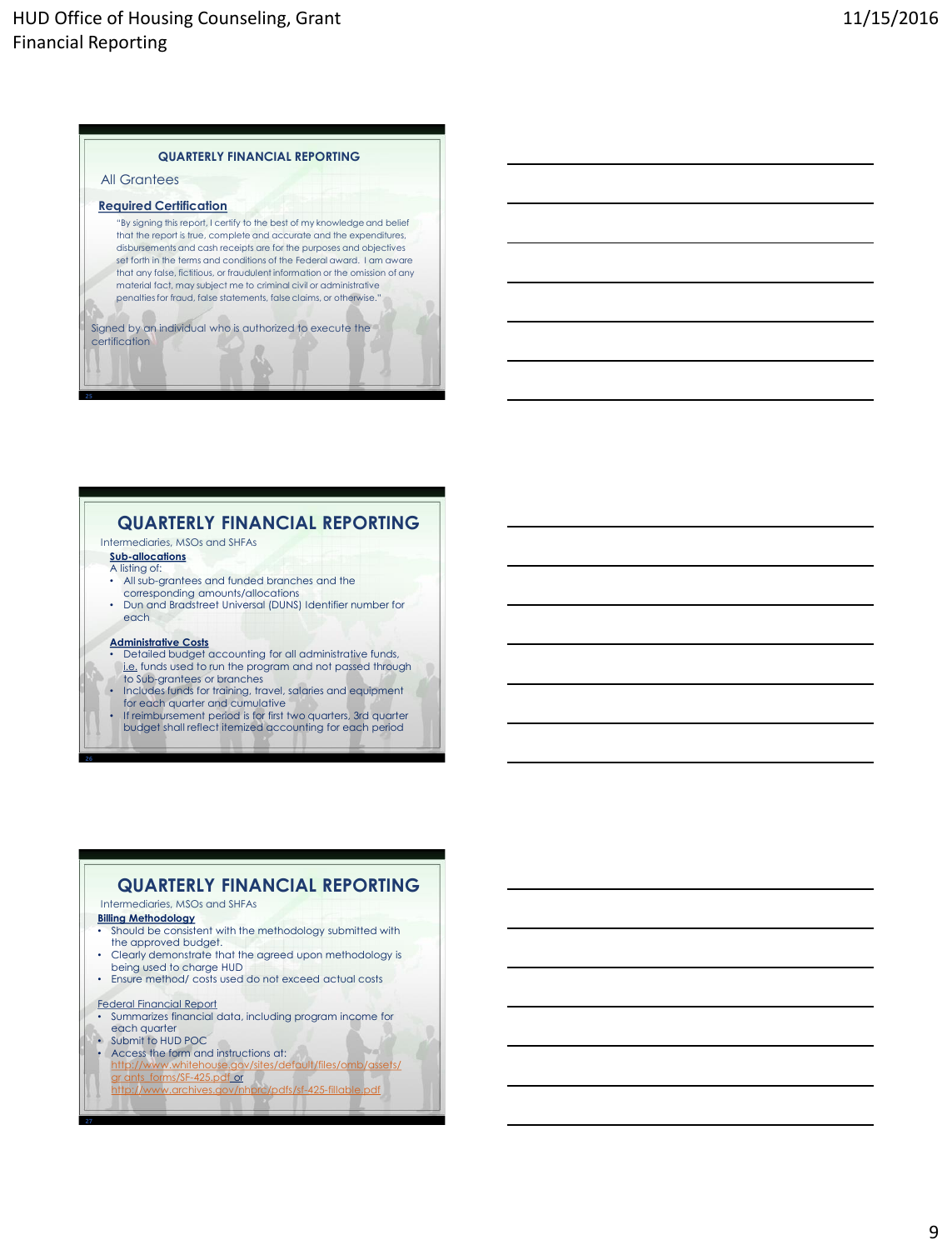### **QUARTERLY FINANCIAL REPORTING**

#### All Grantees

#### **Required Certification**

"By signing this report, I certify to the best of my knowledge and belief that the report is true, complete and accurate and the expenditures, disbursements and cash receipts are for the purposes and objectives set forth in the terms and conditions of the Federal award. I am aware that any false, fictitious, or fraudulent information or the omission of any material fact, may subject me to criminal civil or administrative penalties for fraud, false statements, false claims, or otherwise."

Signed by an individual who is authorized to execute the certification

## **QUARTERLY FINANCIAL REPORTING**

Intermediaries, MSOs and SHFAs

- **Sub-allocations** A listing of:
- All sub-grantees and funded branches and the
- corresponding amounts/allocations • Dun and Bradstreet Universal (DUNS) Identifier number for
- each

#### **Administrative Costs**

- **Detailed budget accounting for all administrative funds,** i.e. funds used to run the program and not passed through to Sub-grantees or branches
- Includes funds for training, travel, salaries and equipment for each quarter and cumulative
- If reimbursement period is for first two quarters, 3rd quarter
	- budget shall reflect itemized accounting for each period

## **QUARTERLY FINANCIAL REPORTING**

#### Intermediaries, MSOs and SHFAs

- **Billing Methodology**
- Should be consistent with the methodology submitted with the approved budget.
- Clearly demonstrate that the agreed upon methodology is being used to charge HUD
- Ensure method/ costs used do not exceed actual costs
- Federal Financial Report
- Summarizes financial data, including program income for each quarter
- Submit to HUD POC
- Access the form and instructions at: [http://www.whitehouse.gov/sites/default/files/omb/assets/](http://www.whitehouse.gov/sites/default/files/omb/assets/gr ants_forms/SF-425.pdf)
- gr ants\_forms/SF-425.pdf or
	- <http://www.archives.gov/nhprc/pdfs/sf-425-fillable.pdf>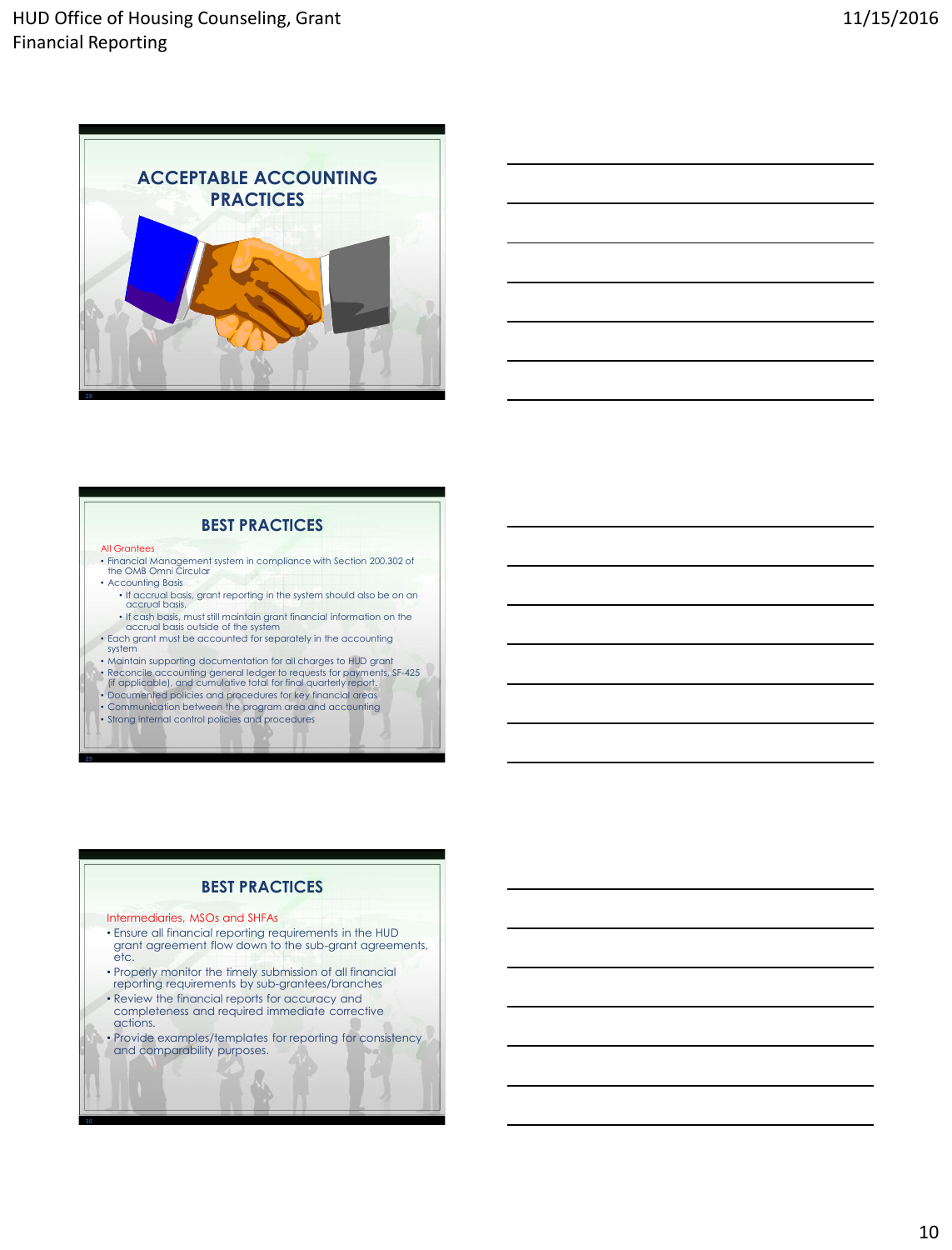



### **BEST PRACTICES**

#### All Grantees

- Financial Management system in compliance with Section 200.302 of the OMB Omni Circular
- Accounting Basis
	- If accrual basis, grant reporting in the system should also be on an accrual basis. • If cash basis, must still maintain grant financial information on the
- accrual basis outside of the system • Each grant must be accounted for separately in the accounting
- system
- Maintain supporting documentation for all charges to HUD grant
- Reconcile accounting general ledger to requests for payments, SF-425<br>|f| applicable), and cumulative total for final quarterly report.<br>• Documented policies and procedures for key financial areas
- 
- Communication between the program area and accounting
- Strong internal control policies and procedures

## **BEST PRACTICES**

#### Intermediaries, MSOs and SHFAs

- Ensure all financial reporting requirements in the HUD grant agreement flow down to the sub-grant agreements, etc.
- Properly monitor the timely submission of all financial reporting requirements by sub-grantees/branches • Review the financial reports for accuracy and
- completeness and required immediate corrective actions.
- Provide examples/templates for reporting for consistency and comparability purposes.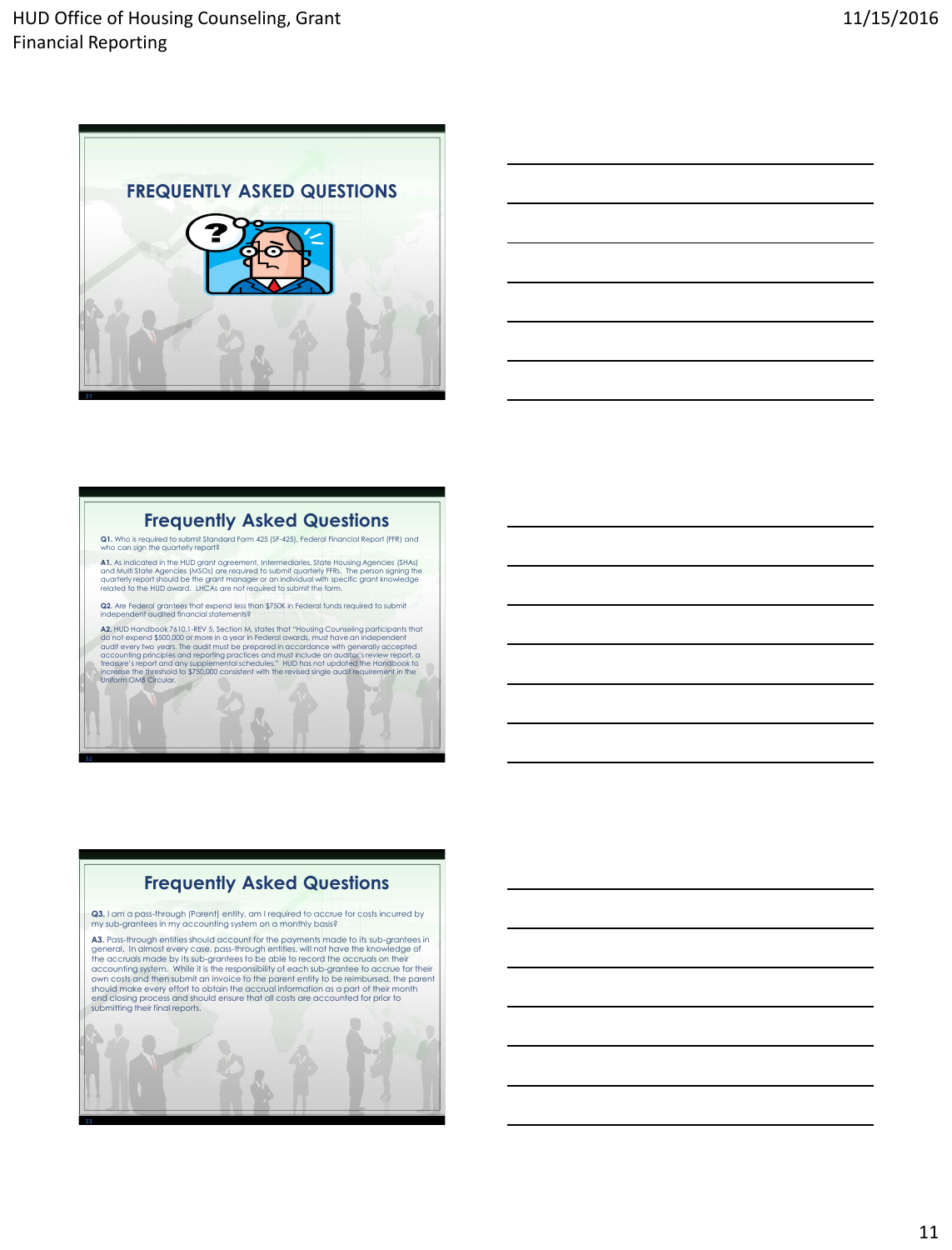



## **Frequently Asked Questions**

**Q1.** Who is required to submit Standard Form 425 (SF-425), Federal Financial Report (FFR) and can sign the quarterly report?

**A1.** As indicated in the HUD grant agreement, Intermediaries, State Housing Agencies (SHAs)<br>and Multi State Agencies (MSOs) are required to submit quarterly FFRs. The person signing the<br>quarterly report should be the gran

**Q2.** Are Federal grantees that expend less than \$750K in Federal funds required to submit independent audited financial statements?

**A2.** HID Handbook 7610.1-ReV 5, Section M, states that "Housing Counseling participants that  $\Delta$  of other speed of social conductions and the properties and the properties and the properties and the properties and the pr -15

ß

# **Frequently Asked Questions**

**Q3.** I am a pass-through (Parent) entity, am I required to accrue for costs incurred by my sub-grantees in my accounting system on a monthly basis?

**A3.** Pass-through entities should account for the payments made to its sub-grantees in<br>general. In almost every case, pass-through entities, will not have the knowledge of<br>the accruals made by its sub-grantees to be able end closing process and should ensure that all costs are accounted for prior to submitting their final reports.